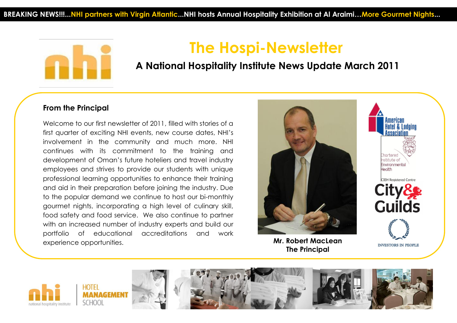

# **The Hospi-Newsletter**

## **A National Hospitality Institute News Update March 2011**

### **From the Principal**

Welcome to our first newsletter of 2011, filled with stories of a first quarter of exciting NHI events, new course dates, NHI's involvement in the community and much more. NHI continues with its commitment to the training and development of Oman's future hoteliers and travel industry employees and strives to provide our students with unique professional learning opportunities to enhance their training and aid in their preparation before joining the industry. Due to the popular demand we continue to host our bi-monthly gourmet nights, incorporating a high level of culinary skill, food safety and food service. We also continue to partner with an increased number of industry experts and build our portfolio of educational accreditations and work experience opportunities. **Mr. Robert MacLean**



**The Principal**

**INVESTORS IN PEOPLE** 

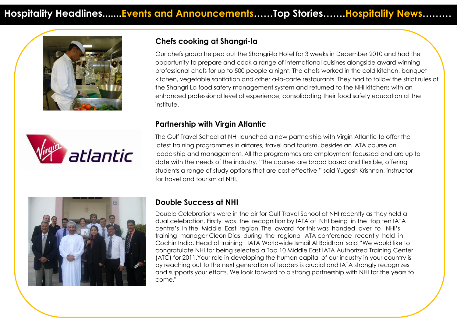



## **Chefs cooking at Shangri-la**

Our chefs group helped out the Shangri-la Hotel for 3 weeks in December 2010 and had the opportunity to prepare and cook a range of international cuisines alongside award winning professional chefs for up to 500 people a night. The chefs worked in the cold kitchen, banquet kitchen, vegetable sanitation and other a-la-carte restaurants. They had to follow the strict rules of the Shangri-La food safety management system and returned to the NHI kitchens with an enhanced professional level of experience, consolidating their food safety education at the institute.

#### $T$  students enjoyed the experience and felt it had given the industry and felt it had given taste of the industry and felt it had given the industry and felt it had given the industry and felt it had given the industry a its expectations of them as chefs once they have completed their training. **Partnership with Virgin Atlantic**

The Gulf Travel School at NHI launched a new partnership with Virgin Atlantic to offer the latest training programmes in airfares, travel and tourism, besides an IATA course on leadership and management. All the programmes are employment focussed and are up to date with the needs of the industry. "The courses are broad based and flexible, offering students a range of study options that are cost effective," said Yugesh Krishnan, instructor for travel and tourism at NHI.



### **Double Success at NHI**

Double Celebrations were in the air for Gulf Travel School at NHI recently as they held a dual celebration. Firstly was the recognition by IATA of NHI being in the top ten IATA centre's in the Middle East region. The award for this was handed over to NHI's training manager Cleon Dias, during the regional IATA conference recently held in Cochin India. Head of training IATA Worldwide Ismail Al Baidhani said "We would like to congratulate NHI for being selected a Top 10 Middle East IATA Authorized Training Center (ATC) for 2011.Your role in developing the human capital of our industry in your country is by reaching out to the next generation of leaders is crucial and IATA strongly recognizes and supports your efforts. We look forward to a strong partnership with NHI for the years to come."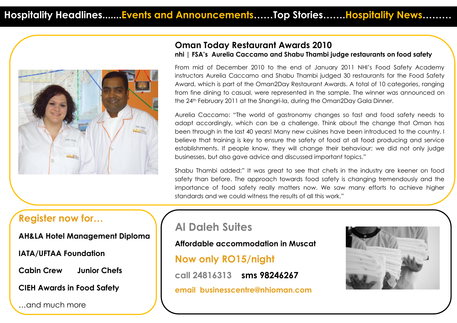

## **Oman Today Restaurant Awards 2010**

#### **nhi | FSA's Aurelia Caccamo and Shabu Thambi judge restaurants on food safety**

From mid of December 2010 to the end of January 2011 NHI's Food Safety Academy instructors Aurelia Caccamo and Shabu Thambi judged 30 restaurants for the Food Safety Award, which is part of the Oman2Day Restaurant Awards. A total of 10 categories, ranging from fine dining to casual, were represented in the sample. The winner was announced on the 24th February 2011 at the Shangri-la, during the Oman2Day Gala Dinner.

Aurelia Caccamo: "The world of gastronomy changes so fast and food safety needs to adapt accordingly, which can be a challenge. Think about the change that Oman has been through in the last 40 years! Many new cuisines have been introduced to the country. I believe that training is key to ensure the safety of food at all food producing and service establishments. If people know, they will change their behaviour; we did not only judge businesses, but also gave advice and discussed important topics."

Shabu Thambi added:" It was great to see that chefs in the industry are keener on food safety than before. The approach towards food safety is changing tremendously and the importance of food safety really matters now. We saw many efforts to achieve higher standards and we could witness the results of all this work."

## **Register now for…**

**AH&LA Hotel Management Diploma** 

**IATA/UFTAA Foundation** 

**Cabin Crew Junior Chefs** 

**CIEH Awards in Food Safety**

…and much more

# **Al Daleh Suites**

**Affordable accommodation in Muscat Now only RO15/night call 24816313 sms 98246267 email businesscentre@nhioman.com**